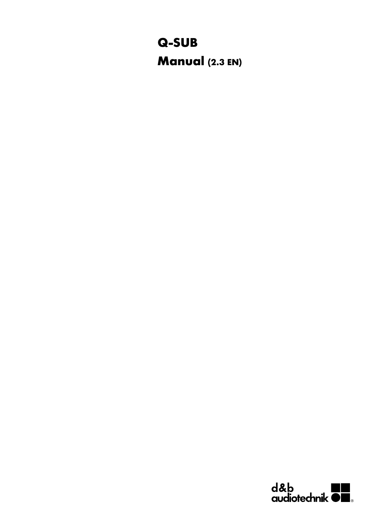# **Q-SUB Manual (2.3 EN)**

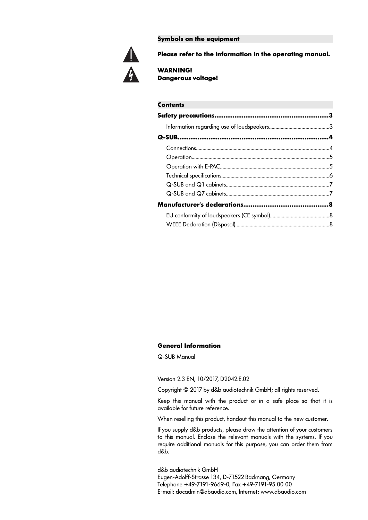**Symbols on the equipment**



**Please refer to the information in the operating manual.**

**WARNING! Dangerous voltage!**

| <b>Contents</b> |  |
|-----------------|--|
|                 |  |
|                 |  |
|                 |  |
|                 |  |
|                 |  |
|                 |  |
|                 |  |
|                 |  |
|                 |  |
|                 |  |
|                 |  |
|                 |  |

# **General Information**

Q-SUB Manual

Version 2.3 EN, 10/2017, D2042.E.02

Copyright © 2017 by d&b audiotechnik GmbH; all rights reserved.

Keep this manual with the product or in a safe place so that it is available for future reference.

When reselling this product, handout this manual to the new customer.

If you supply d&b products, please draw the attention of your customers to this manual. Enclose the relevant manuals with the systems. If you require additional manuals for this purpose, you can order them from d&b.

d&b audiotechnik GmbH Eugen-Adolff-Strasse 134, D-71522 Backnang, Germany Telephone +49-7191-9669-0, Fax +49-7191-95 00 00 E-mail: docadmin@dbaudio.com, Internet: www.dbaudio.com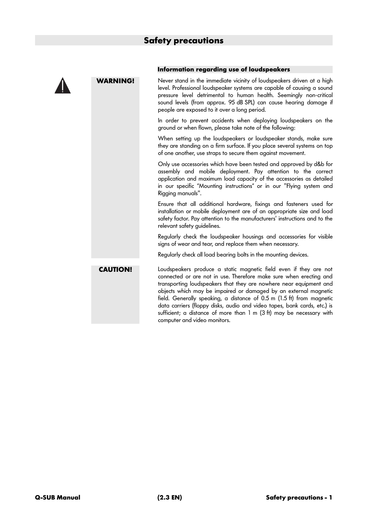

## **Information regarding use of loudspeakers**

**WARNING!** Never stand in the immediate vicinity of loudspeakers driven at a high level. Professional loudspeaker systems are capable of causing a sound pressure level detrimental to human health. Seemingly non-critical sound levels (from approx. 95 dB SPL) can cause hearing damage if people are exposed to it over a long period.

> In order to prevent accidents when deploying loudspeakers on the ground or when flown, please take note of the following:

> When setting up the loudspeakers or loudspeaker stands, make sure they are standing on a firm surface. If you place several systems on top of one another, use straps to secure them against movement.

> Only use accessories which have been tested and approved by d&b for assembly and mobile deployment. Pay attention to the correct application and maximum load capacity of the accessories as detailed in our specific "Mounting instructions" or in our "Flying system and Rigging manuals".

> Ensure that all additional hardware, fixings and fasteners used for installation or mobile deployment are of an appropriate size and load safety factor. Pay attention to the manufacturers' instructions and to the relevant safety guidelines.

> Regularly check the loudspeaker housings and accessories for visible signs of wear and tear, and replace them when necessary.

Regularly check all load bearing bolts in the mounting devices.

**CAUTION!** Loudspeakers produce a static magnetic field even if they are not connected or are not in use. Therefore make sure when erecting and transporting loudspeakers that they are nowhere near equipment and objects which may be impaired or damaged by an external magnetic field. Generally speaking, a distance of 0.5 m (1.5 ft) from magnetic data carriers (floppy disks, audio and video tapes, bank cards, etc.) is sufficient; a distance of more than 1 m (3 ft) may be necessary with computer and video monitors.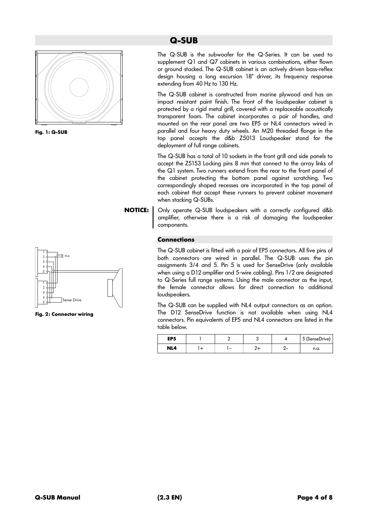

**Fig. 1: Q-SUB**



**Fig. 2: Connector wiring**

# **Q-SUB**

The Q-SUB is the subwoofer for the Q-Series. It can be used to supplement Q1 and Q7 cabinets in various combinations, either flown or ground stacked. The Q-SUB cabinet is an actively driven bass-reflex design housing a long excursion 18" driver, its frequency response extending from 40 Hz to 130 Hz.

The Q-SUB cabinet is constructed from marine plywood and has an impact resistant paint finish. The front of the loudspeaker cabinet is protected by a rigid metal grill, covered with a replaceable acoustically transparent foam. The cabinet incorporates a pair of handles, and mounted on the rear panel are two EP5 or NL4 connectors wired in parallel and four heavy duty wheels. An M20 threaded flange in the top panel accepts the d&b Z5013 Loudspeaker stand for the deployment of full range cabinets.

The Q-SUB has a total of 10 sockets in the front grill and side panels to accept the Z5153 Locking pins 8 mm that connect to the array links of the Q1 system. Two runners extend from the rear to the front panel of the cabinet protecting the bottom panel against scratching. Two correspondingly shaped recesses are incorporated in the top panel of each cabinet that accept these runners to prevent cabinet movement when stacking Q-SUBs.

**NOTICE:** Only operate Q-SUB loudspeakers with a correctly configured d&b amplifier, otherwise there is a risk of damaging the loudspeaker components.

# **Connections**

The Q-SUB cabinet is fitted with a pair of EP5 connectors. All five pins of both connectors are wired in parallel. The Q-SUB uses the pin assignments 3/4 and 5. Pin 5 is used for SenseDrive (only available when using a D12 amplifier and 5-wire cabling). Pins 1/2 are designated to Q-Series full range systems. Using the male connector as the input, the female connector allows for direct connection to additional loudspeakers.

The Q-SUB can be supplied with NL4 output connectors as an option. The D12 SenseDrive function is not available when using NL4 connectors. Pin equivalents of EP5 and NL4 connectors are listed in the table below.

| EP <sub>5</sub> |  |  | 5 (SenseDrive) |
|-----------------|--|--|----------------|
| NL4             |  |  | n.a.           |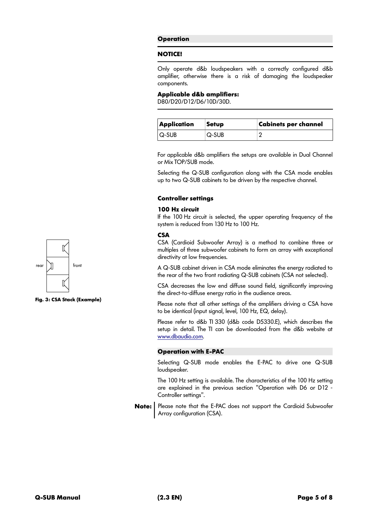# **Operation**

#### **NOTICE!**

Only operate d&b loudspeakers with a correctly configured d&b amplifier, otherwise there is a risk of damaging the loudspeaker components.

## **Applicable d&b amplifiers:**

D80/D20/D12/D6/10D/30D.

| Application | Setup | <b>Cabinets per channel</b> |
|-------------|-------|-----------------------------|
| $ Q-SUB $   | Q-SUB |                             |

For applicable d&b amplifiers the setups are available in Dual Channel or Mix TOP/SUB mode.

Selecting the Q-SUB configuration along with the CSA mode enables up to two Q-SUB cabinets to be driven by the respective channel.

# **Controller settings**

# **100 Hz circuit**

If the 100 Hz circuit is selected, the upper operating frequency of the system is reduced from 130 Hz to 100 Hz.

# **CSA**

CSA (Cardioid Subwoofer Array) is a method to combine three or multiples of three subwoofer cabinets to form an array with exceptional directivity at low frequencies.

A Q-SUB cabinet driven in CSA mode eliminates the energy radiated to the rear of the two front radiating Q-SUB cabinets (CSA not selected).

CSA decreases the low end diffuse sound field, significantly improving the direct-to-diffuse energy ratio in the audience areas.

Please note that all other settings of the amplifiers driving a CSA have to be identical (input signal, level, 100 Hz, EQ, delay).

Please refer to d&b TI 330 (d&b code D5330.E), which describes the setup in detail. The TI can be downloaded from the d&b website at [www.dbaudio.com](http://www.dbaudio.com/).

# **Operation with E-PAC**

Selecting Q-SUB mode enables the E-PAC to drive one Q-SUB loudspeaker.

The 100 Hz setting is available. The characteristics of the 100 Hz setting are explained in the previous section "Operation with D6 or D12 - Controller settings".

**Note:** | Please note that the E-PAC does not support the Cardioid Subwoofer Array configuration (CSA).



**Fig. 3: CSA Stack (Example)**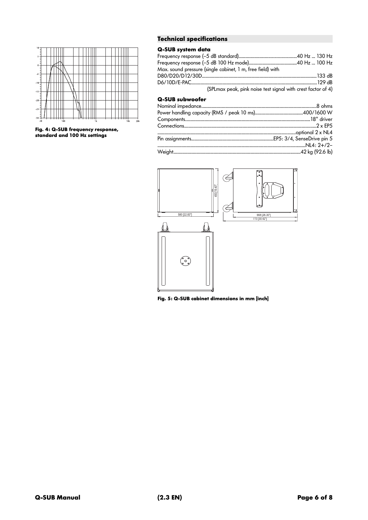

**Fig. 4: Q-SUB frequency response, standard and 100 Hz settings**

# **Technical specifications**

# **Q-SUB system data**

| Max. sound pressure (single cabinet, 1 m, free field) with   |  |
|--------------------------------------------------------------|--|
|                                                              |  |
|                                                              |  |
| (SPLmax peak, pink noise test signal with crest factor of 4) |  |

# **Q-SUB subwoofer**



**Fig. 5: Q-SUB cabinet dimensions in mm [inch]**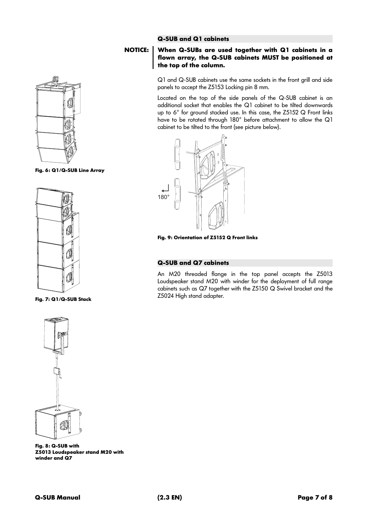

**Fig. 6: Q1/Q-SUB Line Array**



**Fig. 7: Q1/Q-SUB Stack**

# **Q-SUB and Q1 cabinets**

# **NOTICE: When Q-SUBs are used together with Q1 cabinets in a flown array, the Q-SUB cabinets MUST be positioned at the top of the column.**

Q1 and Q-SUB cabinets use the same sockets in the front grill and side panels to accept the Z5153 Locking pin 8 mm.

Located on the top of the side panels of the Q-SUB cabinet is an additional socket that enables the Q1 cabinet to be tilted downwards up to 6° for ground stacked use. In this case, the Z5152 Q Front links have to be rotated through 180° before attachment to allow the Q1 cabinet to be tilted to the front (see picture below).



**Fig. 9: Orientation of Z5152 Q Front links** 

# **Q-SUB and Q7 cabinets**

An M20 threaded flange in the top panel accepts the Z5013 Loudspeaker stand M20 with winder for the deployment of full range cabinets such as Q7 together with the Z5150 Q Swivel bracket and the Z5024 High stand adapter.



**Fig. 8: Q-SUB with Z5013 Loudspeaker stand M20 with winder and Q7**